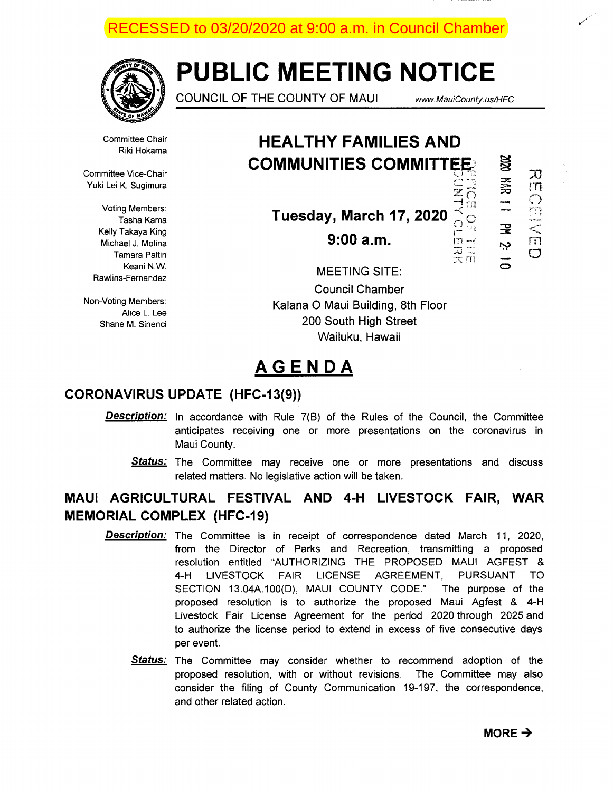

# **PUBLIC MEETING NOTICE**

COUNCIL OF THE COUNTY OF MAUI www. MauiCounty.us/HFC

 $z_{\overline{\Omega}}$  $\Box$ 

 $\mathbb{S}$ 

 $\vec{\Xi}$ 

 $\overline{\mathcal{X}}$ rn *(}* 

 $\frac{1}{n}$  $\circ$ 

 $\overline{\mathbf{x}}$ ض

 $\mathsf{C}$ 

Committee Chair Riki Hokama

Committee Vice-Chair Yuki Lei K. Sugimura

> Voting Members: Tasha Kama Kelly Takaya King Michael J. Molina Tamara Paltin Keani N.W. Rawlins-Fernandez

Non-Voting Members: Alice L. Lee Shane M. Sinenci

### **HEAL THY FAMILIES AND COMMUNITIES COMMITTEE:** c: ""

**Tuesday, March 17, 2020**  $~\frac{\overrightarrow{O}}{\overrightarrow{m}}\frac{\overrightarrow{O}}{m}$ 

**9:00 a.m. r**<br> $\overline{z}$   $\overline{z}$   $\overline{z}$   $\overline{z}$   $\overline{z}$   $\overline{z}$   $\overline{z}$   $\overline{z}$   $\overline{z}$   $\overline{z}$   $\overline{z}$   $\overline{z}$   $\overline{z}$   $\overline{z}$   $\overline{z}$   $\overline{z}$   $\overline{z}$   $\overline{z}$   $\overline{z}$   $\overline{z}$   $\overline{z}$   $\overline{z}$   $\overline{z}$ 

MEETING SITE: Council Chamber Kalana 0 Maui Building, 8th Floor 200 South High Street Wailuku, Hawaii

## **AGENDA**

### **CORONA VIRUS UPDATE (HFC-13(9))**

- **Description:** In accordance with Rule 7(B) of the Rules of the Council, the Committee anticipates receiving one or more presentations on the coronavirus in Maui County.
	- **Status:** The Committee may receive one or more presentations and discuss related matters. No legislative action will be taken.

### **MAUl AGRICULTURAL FESTIVAL AND 4-H LIVESTOCK FAIR, WAR MEMORIAL COMPLEX (HFC-19)**

- **Description:** The Committee is in receipt of correspondence dated March 11, 2020, from the Director of Parks and Recreation, transmitting a proposed resolution entitled "AUTHORIZING THE PROPOSED MAUl AGFEST & 4-H LIVESTOCK FAIR LICENSE AGREEMENT, PURSUANT TO SECTION 13.04A.100(D), MAUl COUNTY CODE." The purpose of the proposed resolution is to authorize the proposed Maui Agfest & 4-H Livestock Fair License Agreement for the period 2020 through 2025 and to authorize the license period to extend in excess of five consecutive days per event.
	- **Status:** The Committee may consider whether to recommend adoption of the proposed resolution, with or without revisions. The Committee may also consider the filing of County Communication 19-197, the correspondence, and other related action.